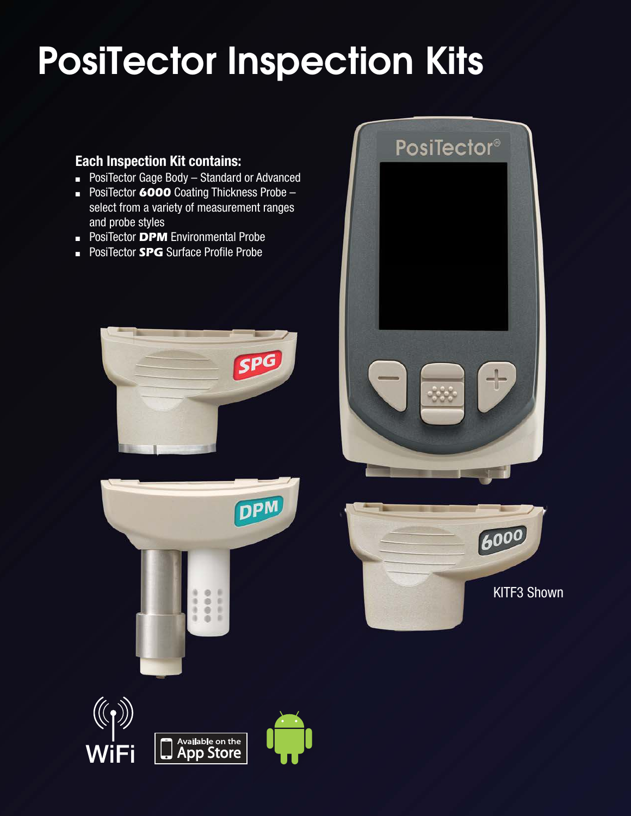# PosiTector Inspection Kits